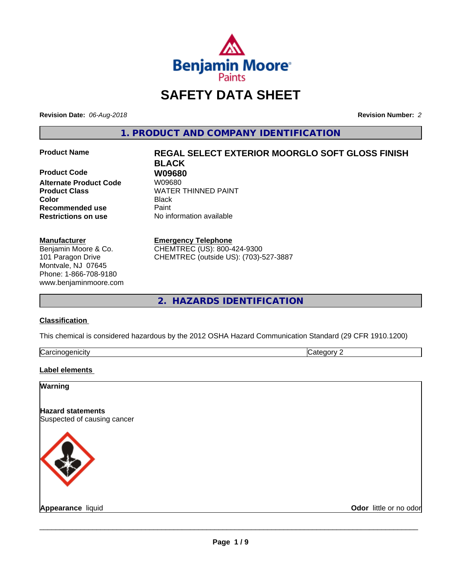

## **SAFETY DATA SHEET**

**Revision Date:** *06-Aug-2018* **Revision Number:** *2*

**1. PRODUCT AND COMPANY IDENTIFICATION**

**Product Code 680<br>Alternate Product Code 680 W09680 Alternate Product Code Product Class WATER THINNED PAINT Color** Black **Recommended use Caint Restrictions on use** No information available

#### **Manufacturer**

Benjamin Moore & Co. 101 Paragon Drive Montvale, NJ 07645 Phone: 1-866-708-9180 www.benjaminmoore.com

# **Product Name REGAL SELECT EXTERIOR MOORGLO SOFT GLOSS FINISH BLACK**

#### **Emergency Telephone**

CHEMTREC (US): 800-424-9300 CHEMTREC (outside US): (703)-527-3887

### **2. HAZARDS IDENTIFICATION**

#### **Classification**

This chemical is considered hazardous by the 2012 OSHA Hazard Communication Standard (29 CFR 1910.1200)

| n.<br>$\sim$<br><br>. ال<br>. |  |
|-------------------------------|--|

#### **Label elements**

#### **Warning**

**Hazard statements** Suspected of causing cancer



**Appearance** liquid **Contract Contract Contract Contract Contract Contract Contract Contract Contract Contract Contract Contract Contract Contract Contract Contract Contract Contract Contract Contract Contract Contract Con**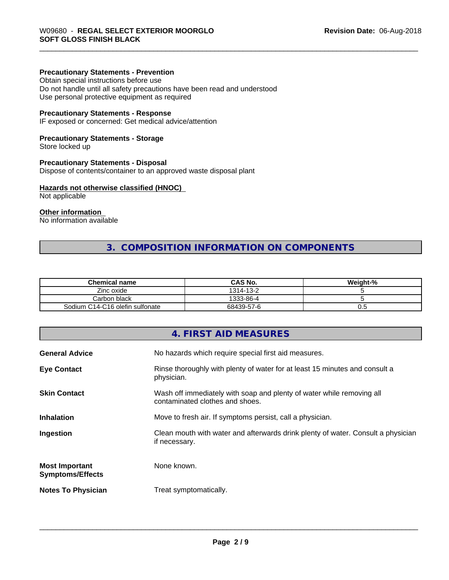#### **Precautionary Statements - Prevention**

Obtain special instructions before use Do not handle until all safety precautions have been read and understood Use personal protective equipment as required

#### **Precautionary Statements - Response**

IF exposed or concerned: Get medical advice/attention

#### **Precautionary Statements - Storage**

Store locked up

#### **Precautionary Statements - Disposal**

Dispose of contents/container to an approved waste disposal plant

#### **Hazards not otherwise classified (HNOC)**

Not applicable

#### **Other information**

No information available

### **3. COMPOSITION INFORMATION ON COMPONENTS**

| <b>Chemical name</b>            | <b>CAS No.</b> | Weight-% |
|---------------------------------|----------------|----------|
| Zinc oxide                      | 1314-13-2      |          |
| Carbon black                    | 1333-86-4      |          |
| Sodium C14-C16 olefin sulfonate | 68439-57-6     | v.J      |

### **4. FIRST AID MEASURES**

| <b>General Advice</b>                            | No hazards which require special first aid measures.                                                     |
|--------------------------------------------------|----------------------------------------------------------------------------------------------------------|
| <b>Eye Contact</b>                               | Rinse thoroughly with plenty of water for at least 15 minutes and consult a<br>physician.                |
| <b>Skin Contact</b>                              | Wash off immediately with soap and plenty of water while removing all<br>contaminated clothes and shoes. |
| <b>Inhalation</b>                                | Move to fresh air. If symptoms persist, call a physician.                                                |
| Ingestion                                        | Clean mouth with water and afterwards drink plenty of water. Consult a physician<br>if necessary.        |
| <b>Most Important</b><br><b>Symptoms/Effects</b> | None known.                                                                                              |
| <b>Notes To Physician</b>                        | Treat symptomatically.                                                                                   |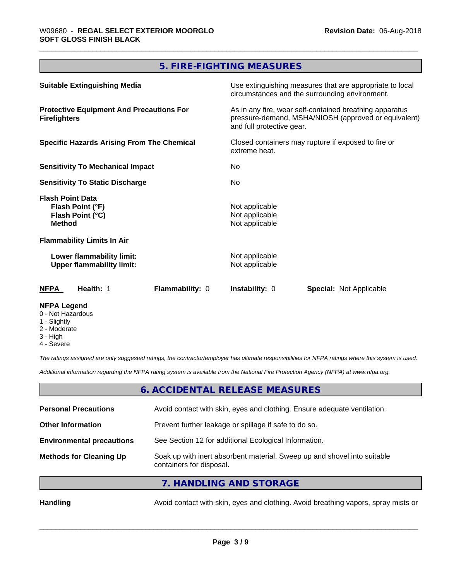## **5. FIRE-FIGHTING MEASURES**

| <b>Suitable Extinguishing Media</b>                                              | Use extinguishing measures that are appropriate to local<br>circumstances and the surrounding environment.                                   |  |  |
|----------------------------------------------------------------------------------|----------------------------------------------------------------------------------------------------------------------------------------------|--|--|
| <b>Protective Equipment And Precautions For</b><br><b>Firefighters</b>           | As in any fire, wear self-contained breathing apparatus<br>pressure-demand, MSHA/NIOSH (approved or equivalent)<br>and full protective gear. |  |  |
| <b>Specific Hazards Arising From The Chemical</b>                                | Closed containers may rupture if exposed to fire or<br>extreme heat.                                                                         |  |  |
| <b>Sensitivity To Mechanical Impact</b>                                          | No.                                                                                                                                          |  |  |
| <b>Sensitivity To Static Discharge</b>                                           | No.                                                                                                                                          |  |  |
| <b>Flash Point Data</b><br>Flash Point (°F)<br>Flash Point (°C)<br><b>Method</b> | Not applicable<br>Not applicable<br>Not applicable                                                                                           |  |  |
| <b>Flammability Limits In Air</b>                                                |                                                                                                                                              |  |  |
| Lower flammability limit:<br><b>Upper flammability limit:</b>                    | Not applicable<br>Not applicable                                                                                                             |  |  |
| <b>NFPA</b><br>Health: 1<br>Flammability: 0                                      | <b>Instability: 0</b><br><b>Special: Not Applicable</b>                                                                                      |  |  |
| <b>NFPA Legend</b>                                                               |                                                                                                                                              |  |  |

- 0 Not Hazardous
- 1 Slightly
- 2 Moderate
- 3 High
- 4 Severe

*The ratings assigned are only suggested ratings, the contractor/employer has ultimate responsibilities for NFPA ratings where this system is used.*

*Additional information regarding the NFPA rating system is available from the National Fire Protection Agency (NFPA) at www.nfpa.org.*

#### **6. ACCIDENTAL RELEASE MEASURES**

| <b>Personal Precautions</b>      | Avoid contact with skin, eyes and clothing. Ensure adequate ventilation.                             |
|----------------------------------|------------------------------------------------------------------------------------------------------|
| <b>Other Information</b>         | Prevent further leakage or spillage if safe to do so.                                                |
| <b>Environmental precautions</b> | See Section 12 for additional Ecological Information.                                                |
| <b>Methods for Cleaning Up</b>   | Soak up with inert absorbent material. Sweep up and shovel into suitable<br>containers for disposal. |
|                                  | $\overline{z}$ in the start into $\overline{z}$                                                      |

**7. HANDLING AND STORAGE**

Handling **Handling** Avoid contact with skin, eyes and clothing. Avoid breathing vapors, spray mists or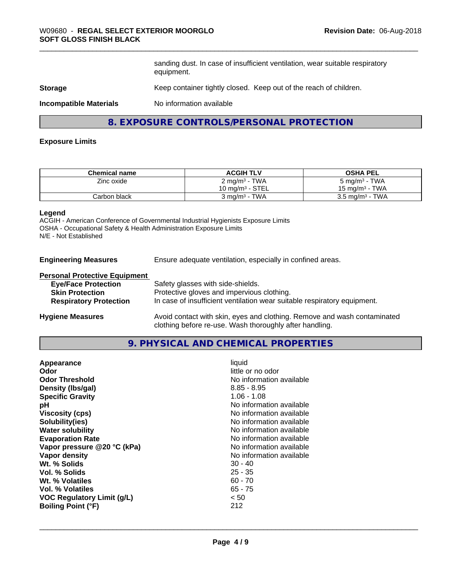sanding dust. In case of insufficient ventilation, wear suitable respiratory equipment.

#### **Storage** Keep container tightly closed. Keep out of the reach of children.

**Incompatible Materials** No information available

#### **8. EXPOSURE CONTROLS/PERSONAL PROTECTION**

#### **Exposure Limits**

| <b>Chemical name</b> | <b>ACGIH TLV</b>          | <b>OSHA PEL</b>            |
|----------------------|---------------------------|----------------------------|
| Zinc oxide           | 2 mg/m <sup>3</sup> - TWA | 5 mg/m <sup>3</sup> - TWA  |
|                      | 10 mg/m $3$ - STEL        | 15 mg/m $3$ - TWA          |
| Carbon black         | 3 ma/m <sup>3</sup> - TWA | $3.5 \text{ mg/m}^3$ - TWA |

#### **Legend**

ACGIH - American Conference of Governmental Industrial Hygienists Exposure Limits OSHA - Occupational Safety & Health Administration Exposure Limits N/E - Not Established

**Engineering Measures** Ensure adequate ventilation, especially in confined areas.

#### **Personal Protective Equipment**

| <b>Eye/Face Protection</b>    | Safety glasses with side-shields.                                        |
|-------------------------------|--------------------------------------------------------------------------|
| <b>Skin Protection</b>        | Protective gloves and impervious clothing.                               |
| <b>Respiratory Protection</b> | In case of insufficient ventilation wear suitable respiratory equipment. |
| <b>Hygiene Measures</b>       | Avoid contact with skin, eyes and clothing. Remove and wash contaminated |

#### **9. PHYSICAL AND CHEMICAL PROPERTIES**

clothing before re-use. Wash thoroughly after handling.

| <b>VOC Regulatory Limit (g/L)</b><br>< 50 | Appearance<br>Odor<br><b>Odor Threshold</b><br>Density (Ibs/gal)<br><b>Specific Gravity</b><br>рH<br><b>Viscosity (cps)</b><br>Solubility(ies)<br><b>Water solubility</b><br><b>Evaporation Rate</b><br>Vapor pressure @20 °C (kPa)<br>Vapor density<br>Wt. % Solids<br>Vol. % Solids<br>Wt. % Volatiles<br>Vol. % Volatiles | liquid<br>little or no odor<br>No information available<br>$8.85 - 8.95$<br>$1.06 - 1.08$<br>No information available<br>No information available<br>No information available<br>No information available<br>No information available<br>No information available<br>No information available<br>$30 - 40$<br>$25 - 35$<br>$60 - 70$<br>$65 - 75$ |
|-------------------------------------------|------------------------------------------------------------------------------------------------------------------------------------------------------------------------------------------------------------------------------------------------------------------------------------------------------------------------------|---------------------------------------------------------------------------------------------------------------------------------------------------------------------------------------------------------------------------------------------------------------------------------------------------------------------------------------------------|
|-------------------------------------------|------------------------------------------------------------------------------------------------------------------------------------------------------------------------------------------------------------------------------------------------------------------------------------------------------------------------------|---------------------------------------------------------------------------------------------------------------------------------------------------------------------------------------------------------------------------------------------------------------------------------------------------------------------------------------------------|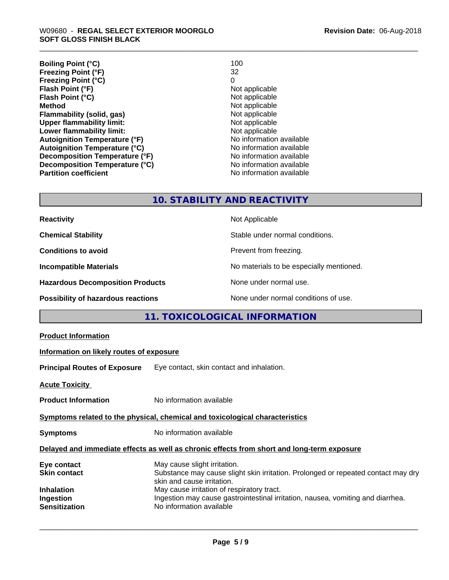**Boiling Point (°C)** 100<br> **Preezing Point (°F)** 22 **Freezing Point (°F)** 32 **Freezing Point (°C)** 0 **Flash Point (°F)**<br> **Flash Point (°C)**<br> **Flash Point (°C)**<br> **C Flash Point (°C)**<br>Method **Flammability (solid, gas)**<br> **Upper flammability limit:**<br>
Upper flammability limit: **Upper flammability limit:**<br> **Lower flammability limit:**<br>
Not applicable<br>
Not applicable **Lower flammability limit:**<br> **Autoignition Temperature (°F)** Not applicable Not applicable **Autoignition Temperature (°F)**<br> **Autoignition Temperature (°C)**<br> **Autoignition Temperature (°C)**<br> **Autoignition Temperature (°C) Autoignition Temperature (°C) Decomposition Temperature (°F)** No information available **Decomposition Temperature (°C)** No information available **Revision Date:** 06-Aug-2018

**Not applicable**<br>**Not applicable No information available** 

#### **10. STABILITY AND REACTIVITY**

| <b>Reactivity</b>                         | Not Applicable                           |
|-------------------------------------------|------------------------------------------|
| <b>Chemical Stability</b>                 | Stable under normal conditions.          |
| <b>Conditions to avoid</b>                | Prevent from freezing.                   |
| <b>Incompatible Materials</b>             | No materials to be especially mentioned. |
| <b>Hazardous Decomposition Products</b>   | None under normal use.                   |
| <b>Possibility of hazardous reactions</b> | None under normal conditions of use.     |

### **11. TOXICOLOGICAL INFORMATION**

| Information on likely routes of exposure                                                                                                                                                                                                                                         |
|----------------------------------------------------------------------------------------------------------------------------------------------------------------------------------------------------------------------------------------------------------------------------------|
| Eye contact, skin contact and inhalation.                                                                                                                                                                                                                                        |
|                                                                                                                                                                                                                                                                                  |
| No information available                                                                                                                                                                                                                                                         |
| Symptoms related to the physical, chemical and toxicological characteristics                                                                                                                                                                                                     |
| No information available                                                                                                                                                                                                                                                         |
| Delayed and immediate effects as well as chronic effects from short and long-term exposure                                                                                                                                                                                       |
| May cause slight irritation.<br>Substance may cause slight skin irritation. Prolonged or repeated contact may dry<br>skin and cause irritation.<br>May cause irritation of respiratory tract.<br>Ingestion may cause gastrointestinal irritation, nausea, vomiting and diarrhea. |
|                                                                                                                                                                                                                                                                                  |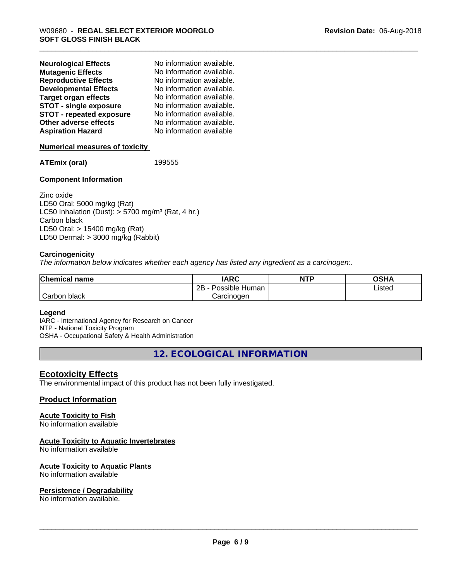| <b>Neurological Effects</b>     | No information available. |
|---------------------------------|---------------------------|
| <b>Mutagenic Effects</b>        | No information available. |
| <b>Reproductive Effects</b>     | No information available. |
| <b>Developmental Effects</b>    | No information available. |
| Target organ effects            | No information available. |
| <b>STOT - single exposure</b>   | No information available. |
| <b>STOT - repeated exposure</b> | No information available. |
| Other adverse effects           | No information available. |
| <b>Aspiration Hazard</b>        | No information available  |
|                                 |                           |

#### **Numerical measures of toxicity**

**ATEmix (oral)** 199555

#### **Component Information**

Zinc oxide LD50 Oral: 5000 mg/kg (Rat) LC50 Inhalation (Dust):  $> 5700$  mg/m<sup>3</sup> (Rat, 4 hr.) Carbon black LD50 Oral: > 15400 mg/kg (Rat) LD50 Dermal: > 3000 mg/kg (Rabbit)

#### **Carcinogenicity**

*The information below indicateswhether each agency has listed any ingredient as a carcinogen:.*

| <b>Chemical name</b>      | <b>IARC</b>                    | <b>NTP</b> | ດເ⊔າ<br>UJNA |
|---------------------------|--------------------------------|------------|--------------|
|                           | . .<br>2B<br>Possible<br>Human |            | Listed       |
| $\sim$<br>Carbor<br>black | Carcinoɑen                     |            |              |

#### **Legend**

IARC - International Agency for Research on Cancer NTP - National Toxicity Program OSHA - Occupational Safety & Health Administration

**12. ECOLOGICAL INFORMATION**

#### **Ecotoxicity Effects**

The environmental impact of this product has not been fully investigated.

#### **Product Information**

#### **Acute Toxicity to Fish**

No information available

#### **Acute Toxicity to Aquatic Invertebrates**

No information available

#### **Acute Toxicity to Aquatic Plants**

No information available

#### **Persistence / Degradability**

No information available.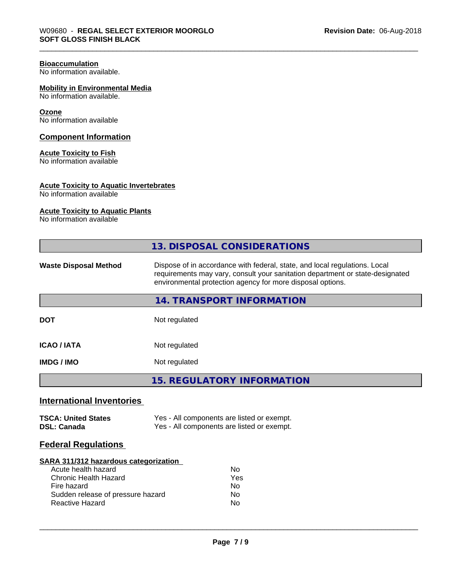#### **Bioaccumulation**

No information available.

#### **Mobility in Environmental Media**

No information available.

#### **Ozone**

No information available

#### **Component Information**

#### **Acute Toxicity to Fish**

No information available

#### **Acute Toxicity to Aquatic Invertebrates**

No information available

#### **Acute Toxicity to Aquatic Plants**

No information available

|                                                                                                                                                                     | 13. DISPOSAL CONSIDERATIONS                                                                                                                                                                                               |  |  |
|---------------------------------------------------------------------------------------------------------------------------------------------------------------------|---------------------------------------------------------------------------------------------------------------------------------------------------------------------------------------------------------------------------|--|--|
| <b>Waste Disposal Method</b>                                                                                                                                        | Dispose of in accordance with federal, state, and local regulations. Local<br>requirements may vary, consult your sanitation department or state-designated<br>environmental protection agency for more disposal options. |  |  |
|                                                                                                                                                                     | <b>14. TRANSPORT INFORMATION</b>                                                                                                                                                                                          |  |  |
| <b>DOT</b>                                                                                                                                                          | Not regulated                                                                                                                                                                                                             |  |  |
| <b>ICAO/IATA</b>                                                                                                                                                    | Not regulated                                                                                                                                                                                                             |  |  |
| <b>IMDG / IMO</b>                                                                                                                                                   | Not regulated                                                                                                                                                                                                             |  |  |
|                                                                                                                                                                     | <b>15. REGULATORY INFORMATION</b>                                                                                                                                                                                         |  |  |
| <b>International Inventories</b>                                                                                                                                    |                                                                                                                                                                                                                           |  |  |
| <b>TSCA: United States</b><br><b>DSL: Canada</b>                                                                                                                    | Yes - All components are listed or exempt.<br>Yes - All components are listed or exempt.                                                                                                                                  |  |  |
| <b>Federal Regulations</b>                                                                                                                                          |                                                                                                                                                                                                                           |  |  |
| SARA 311/312 hazardous categorization<br>Acute health hazard<br>Chronic Health Hazard<br>Fire hazard<br>Sudden release of pressure hazard<br><b>Reactive Hazard</b> | <b>No</b><br>Yes<br><b>No</b><br>No.<br>No.                                                                                                                                                                               |  |  |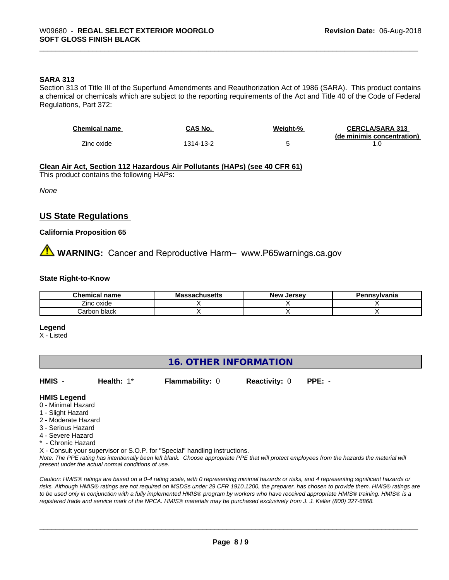#### **SARA 313**

Section 313 of Title III of the Superfund Amendments and Reauthorization Act of 1986 (SARA). This product contains a chemical or chemicals which are subject to the reporting requirements of the Act and Title 40 of the Code of Federal Regulations, Part 372:

| <b>Chemical name</b> | CAS No.   | <u>Weight-%</u> | <b>CERCLA/SARA 313</b>     |
|----------------------|-----------|-----------------|----------------------------|
|                      |           |                 | (de minimis concentration) |
| Zinc oxide           | 1314-13-2 |                 |                            |

#### **Clean Air Act,Section 112 Hazardous Air Pollutants (HAPs) (see 40 CFR 61)**

This product contains the following HAPs:

*None*

#### **US State Regulations**

#### **California Proposition 65**

**AVIMARNING:** Cancer and Reproductive Harm– www.P65warnings.ca.gov

#### **State Right-to-Know**

| <b>Chemical</b><br>name | <br>adulluəcluə<br>шo | Jersev<br><b>New</b> | <b>nsvivania</b> |
|-------------------------|-----------------------|----------------------|------------------|
| $- \cdot$<br>∠inc oxide |                       |                      |                  |
| black<br>arbon.         |                       |                      |                  |

#### **Legend**

X - Listed

#### **16. OTHER INFORMATION**

**HMIS** - **Health:** 1\* **Flammability:** 0 **Reactivity:** 0 **PPE:** -

#### **HMIS Legend**

- 0 Minimal Hazard
- 1 Slight Hazard
- 2 Moderate Hazard
- 3 Serious Hazard
- 4 Severe Hazard
- \* Chronic Hazard

X - Consult your supervisor or S.O.P. for "Special" handling instructions.

*Note: The PPE rating has intentionally been left blank. Choose appropriate PPE that will protect employees from the hazards the material will present under the actual normal conditions of use.*

*Caution: HMISÒ ratings are based on a 0-4 rating scale, with 0 representing minimal hazards or risks, and 4 representing significant hazards or risks. Although HMISÒ ratings are not required on MSDSs under 29 CFR 1910.1200, the preparer, has chosen to provide them. HMISÒ ratings are to be used only in conjunction with a fully implemented HMISÒ program by workers who have received appropriate HMISÒ training. HMISÒ is a registered trade and service mark of the NPCA. HMISÒ materials may be purchased exclusively from J. J. Keller (800) 327-6868.*